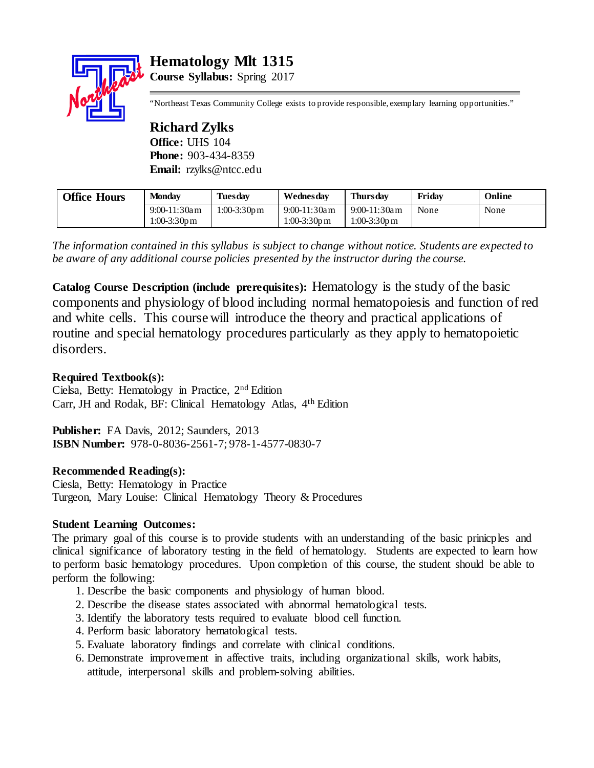# **Hematology Mlt 1315**



**Course Syllabus:** Spring 2017

"Northeast Texas Community College exists to provide responsible, exemplary learning opportunities."

**Richard Zylks Office:** UHS 104 **Phone:** 903-434-8359 **Email:** rzylks@ntcc.edu

| <b>Office Hours</b> | <b>Monday</b>   | <b>Tuesday</b>           | Wednesdav                | <b>Thursday</b> | Fridav | Online |
|---------------------|-----------------|--------------------------|--------------------------|-----------------|--------|--------|
|                     | $9:00-11:30$ am | $1:00-3:30p \, \text{m}$ | $9:00-11:30$ am          | $9:00-11:30$ am | None   | None   |
|                     | 1:00-3:30pm     |                          | $1:00-3:30p \, \text{m}$ | 1:00-3:30pm     |        |        |

*The information contained in this syllabus is subject to change without notice. Students are expected to be aware of any additional course policies presented by the instructor during the course.*

**Catalog Course Description (include prerequisites):** Hematology is the study of the basic components and physiology of blood including normal hematopoiesis and function of red and white cells. This course will introduce the theory and practical applications of routine and special hematology procedures particularly as they apply to hematopoietic disorders.

# **Required Textbook(s):**

Cielsa, Betty: Hematology in Practice, 2nd Edition Carr, JH and Rodak, BF: Clinical Hematology Atlas, 4th Edition

**Publisher:** FA Davis, 2012; Saunders, 2013 **ISBN Number:** 978-0-8036-2561-7; 978-1-4577-0830-7

# **Recommended Reading(s):**

Ciesla, Betty: Hematology in Practice Turgeon, Mary Louise: Clinical Hematology Theory & Procedures

# **Student Learning Outcomes:**

The primary goal of this course is to provide students with an understanding of the basic prinicples and clinical significance of laboratory testing in the field of hematology. Students are expected to learn how to perform basic hematology procedures. Upon completion of this course, the student should be able to perform the following:

- 1. Describe the basic components and physiology of human blood.
- 2. Describe the disease states associated with abnormal hematological tests.
- 3. Identify the laboratory tests required to evaluate blood cell function.
- 4. Perform basic laboratory hematological tests.
- 5. Evaluate laboratory findings and correlate with clinical conditions.
- 6. Demonstrate improvement in affective traits, including organizational skills, work habits, attitude, interpersonal skills and problem-solving abilities.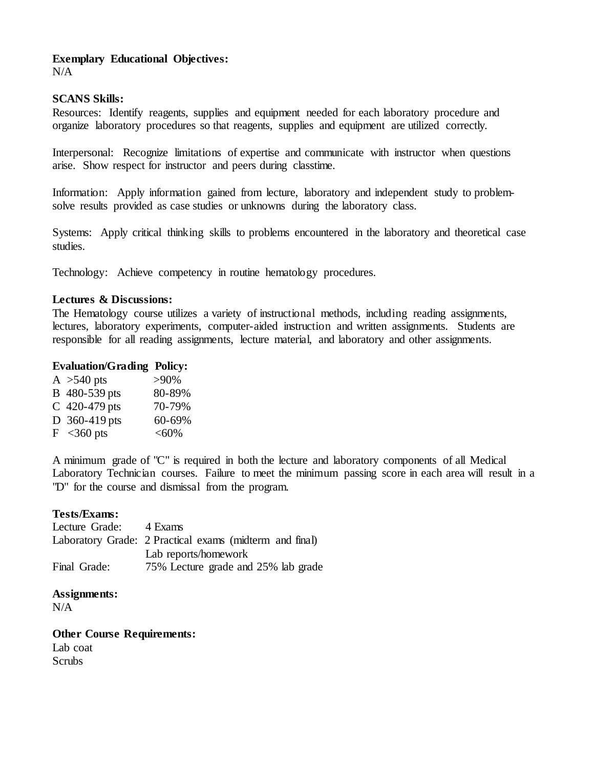# **Exemplary Educational Objectives:**

 $N/A$ 

## **SCANS Skills:**

Resources: Identify reagents, supplies and equipment needed for each laboratory procedure and organize laboratory procedures so that reagents, supplies and equipment are utilized correctly.

Interpersonal: Recognize limitations of expertise and communicate with instructor when questions arise. Show respect for instructor and peers during classtime.

Information: Apply information gained from lecture, laboratory and independent study to problemsolve results provided as case studies or unknowns during the laboratory class.

Systems: Apply critical thinking skills to problems encountered in the laboratory and theoretical case studies.

Technology: Achieve competency in routine hematology procedures.

## **Lectures & Discussions:**

The Hematology course utilizes a variety of instructional methods, including reading assignments, lectures, laboratory experiments, computer-aided instruction and written assignments. Students are responsible for all reading assignments, lecture material, and laboratory and other assignments.

## **Evaluation/Grading Policy:**

| A $>540$ pts             | $>90\%$ |
|--------------------------|---------|
| B 480-539 pts            | 80-89%  |
| C 420-479 pts            | 70-79%  |
| D $360-419$ pts          | 60-69%  |
| $F \sim 360 \text{ pts}$ | <60%    |

A minimum grade of "C" is required in both the lecture and laboratory components of all Medical Laboratory Technician courses. Failure to meet the minimum passing score in each area will result in a "D" for the course and dismissal from the program.

## **Tests/Exams:**

Lecture Grade: 4 Exams Laboratory Grade: 2 Practical exams (midterm and final) Lab reports/homework Final Grade: 75% Lecture grade and 25% lab grade

**Assignments:**

 $N/A$ 

**Other Course Requirements:**

Lab coat **Scrubs**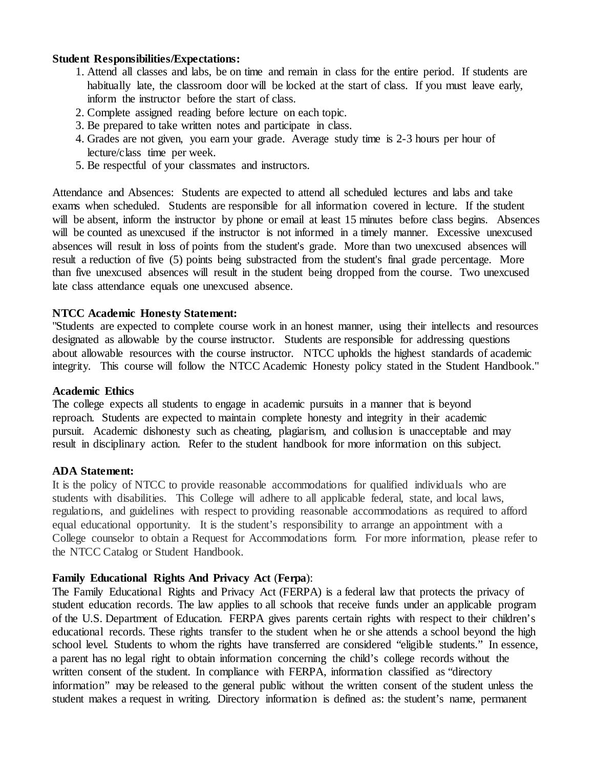## **Student Responsibilities/Expectations:**

- 1. Attend all classes and labs, be on time and remain in class for the entire period. If students are habitually late, the classroom door will be locked at the start of class. If you must leave early, inform the instructor before the start of class.
- 2. Complete assigned reading before lecture on each topic.
- 3. Be prepared to take written notes and participate in class.
- 4. Grades are not given, you earn your grade. Average study time is 2-3 hours per hour of lecture/class time per week.
- 5. Be respectful of your classmates and instructors.

Attendance and Absences: Students are expected to attend all scheduled lectures and labs and take exams when scheduled. Students are responsible for all information covered in lecture. If the student will be absent, inform the instructor by phone or email at least 15 minutes before class begins. Absences will be counted as unexcused if the instructor is not informed in a timely manner. Excessive unexcused absences will result in loss of points from the student's grade. More than two unexcused absences will result a reduction of five (5) points being substracted from the student's final grade percentage. More than five unexcused absences will result in the student being dropped from the course. Two unexcused late class attendance equals one unexcused absence.

## **NTCC Academic Honesty Statement:**

"Students are expected to complete course work in an honest manner, using their intellects and resources designated as allowable by the course instructor. Students are responsible for addressing questions about allowable resources with the course instructor. NTCC upholds the highest standards of academic integrity. This course will follow the NTCC Academic Honesty policy stated in the Student Handbook."

#### **Academic Ethics**

The college expects all students to engage in academic pursuits in a manner that is beyond reproach. Students are expected to maintain complete honesty and integrity in their academic pursuit. Academic dishonesty such as cheating, plagiarism, and collusion is unacceptable and may result in disciplinary action. Refer to the student handbook for more information on this subject.

#### **ADA Statement:**

It is the policy of NTCC to provide reasonable accommodations for qualified individuals who are students with disabilities. This College will adhere to all applicable federal, state, and local laws, regulations, and guidelines with respect to providing reasonable accommodations as required to afford equal educational opportunity. It is the student's responsibility to arrange an appointment with a College counselor to obtain a Request for Accommodations form. For more information, please refer to the NTCC Catalog or Student Handbook.

## **Family Educational Rights And Privacy Act** (**Ferpa**):

The Family Educational Rights and Privacy Act (FERPA) is a federal law that protects the privacy of student education records. The law applies to all schools that receive funds under an applicable program of the U.S. Department of Education. FERPA gives parents certain rights with respect to their children's educational records. These rights transfer to the student when he or she attends a school beyond the high school level. Students to whom the rights have transferred are considered "eligible students." In essence, a parent has no legal right to obtain information concerning the child's college records without the written consent of the student. In compliance with FERPA, information classified as "directory information" may be released to the general public without the written consent of the student unless the student makes a request in writing. Directory information is defined as: the student's name, permanent